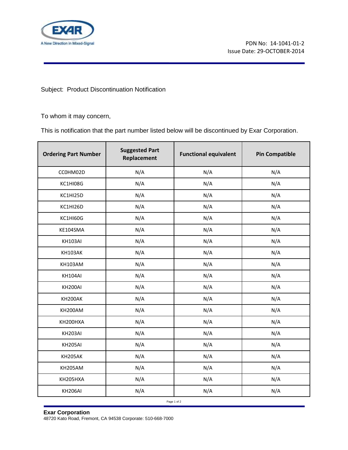

Subject: Product Discontinuation Notification

To whom it may concern,

This is notification that the part number listed below will be discontinued by Exar Corporation.

|                | Replacement | <b>Functional equivalent</b> | <b>Pin Compatible</b> |
|----------------|-------------|------------------------------|-----------------------|
| CCOHM02D       | N/A         | N/A                          | N/A                   |
| KC1HI08G       | N/A         | N/A                          | N/A                   |
| KC1HI25D       | N/A         | N/A                          | N/A                   |
| KC1HI26D       | N/A         | N/A                          | N/A                   |
| KC1HI60G       | N/A         | N/A                          | N/A                   |
| KE104SMA       | N/A         | N/A                          | N/A                   |
| KH103AI        | N/A         | N/A                          | N/A                   |
| KH103AK        | N/A         | N/A                          | N/A                   |
| <b>KH103AM</b> | N/A         | N/A                          | N/A                   |
| KH104AI        | N/A         | N/A                          | N/A                   |
| KH200AI        | N/A         | N/A                          | N/A                   |
| KH200AK        | N/A         | N/A                          | N/A                   |
| KH200AM        | N/A         | N/A                          | N/A                   |
| KH200HXA       | N/A         | N/A                          | N/A                   |
| KH203AI        | N/A         | N/A                          | N/A                   |
| KH205AI        | N/A         | N/A                          | N/A                   |
| KH205AK        | N/A         | N/A                          | N/A                   |
| KH205AM        | N/A         | N/A                          | N/A                   |
| KH205HXA       | N/A         | N/A                          | N/A                   |
| KH206AI        | N/A         | N/A                          | N/A                   |

**Exar Corporation** 48720 Kato Road, Fremont, CA 94538 Corporate: 510-668-7000